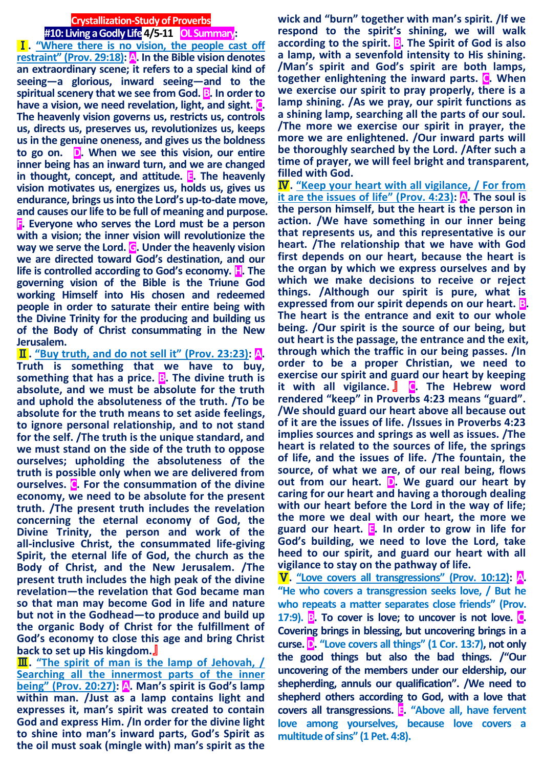# **Crystallization-Study of Proverbs #10: Living a Godly Life4/5-11 OL Summary:**

Ⅰ**. "Where there is no vision, the people cast off restraint" (Prov. 29:18): A. In the Bible vision denotes an extraordinary scene; it refers to a special kind of seeing—a glorious, inward seeing—and to the spiritual scenery that we see from God. B. In order to have a vision, we need revelation, light, and sight. C. The heavenly vision governs us, restricts us, controls us, directs us, preserves us, revolutionizes us, keeps us in the genuine oneness, and gives us the boldness to go on. D. When we see this vision, our entire inner being has an inward turn, and we are changed in thought, concept, and attitude. E. The heavenly vision motivates us, energizes us, holds us, gives us endurance, brings us into the Lord's up-to-date move, and causes our life to be full of meaning and purpose. F. Everyone who serves the Lord must be a person with a vision; the inner vision will revolutionize the way we serve the Lord. G. Under the heavenly vision we are directed toward God's destination, and our life is controlled according to God's economy. H. The governing vision of the Bible is the Triune God working Himself into His chosen and redeemed people in order to saturate their entire being with the Divine Trinity for the producing and building us of the Body of Christ consummating in the New Jerusalem.**

Ⅱ**. "Buy truth, and do not sell it" (Prov. 23:23): A. Truth is something that we have to buy, something that has a price. B. The divine truth is absolute, and we must be absolute for the truth and uphold the absoluteness of the truth. /To be absolute for the truth means to set aside feelings, to ignore personal relationship, and to not stand for the self. /The truth is the unique standard, and we must stand on the side of the truth to oppose ourselves; upholding the absoluteness of the truth is possible only when we are delivered from ourselves. C. For the consummation of the divine economy, we need to be absolute for the present truth. /The present truth includes the revelation concerning the eternal economy of God, the Divine Trinity, the person and work of the all-inclusive Christ, the consummated life-giving Spirit, the eternal life of God, the church as the Body of Christ, and the New Jerusalem. /The present truth includes the high peak of the divine revelation—the revelation that God became man so that man may become God in life and nature but not in the Godhead—to produce and build up the organic Body of Christ for the fulfillment of God's economy to close this age and bring Christ back to set up His kingdom.**』

Ⅲ**. "The spirit of man is the lamp of Jehovah, / Searching all the innermost parts of the inner being" (Prov. 20:27): A. Man's spirit is God's lamp within man. /Just as a lamp contains light and expresses it, man's spirit was created to contain God and express Him. /In order for the divine light to shine into man's inward parts, God's Spirit as the oil must soak (mingle with) man's spirit as the** 

**wick and "burn" together with man's spirit. /If we respond to the spirit's shining, we will walk according to the spirit. B. The Spirit of God is also a lamp, with a sevenfold intensity to His shining. /Man's spirit and God's spirit are both lamps, together enlightening the inward parts. C. When we exercise our spirit to pray properly, there is a lamp shining. /As we pray, our spirit functions as a shining lamp, searching all the parts of our soul. /The more we exercise our spirit in prayer, the more we are enlightened. /Our inward parts will be thoroughly searched by the Lord. /After such a time of prayer, we will feel bright and transparent, filled with God.**

Ⅳ**. "Keep your heart with all vigilance, / For from it are the issues of life" (Prov. 4:23): A. The soul is the person himself, but the heart is the person in action. /We have something in our inner being that represents us, and this representative is our heart. /The relationship that we have with God first depends on our heart, because the heart is the organ by which we express ourselves and by which we make decisions to receive or reject things. /Although our spirit is pure, what is expressed from our spirit depends on our heart. B. The heart is the entrance and exit to our whole being. /Our spirit is the source of our being, but out heart is the passage, the entrance and the exit, through which the traffic in our being passes. /In order to be a proper Christian, we need to exercise our spirit and guard our heart by keeping it with all vigilance.** 』 **C. The Hebrew word rendered "keep" in Proverbs 4:23 means "guard". /We should guard our heart above all because out of it are the issues of life. /Issues in Proverbs 4:23 implies sources and springs as well as issues. /The heart is related to the sources of life, the springs of life, and the issues of life. /The fountain, the source, of what we are, of our real being, flows out from our heart. D. We guard our heart by caring for our heart and having a thorough dealing with our heart before the Lord in the way of life; the more we deal with our heart, the more we guard our heart. E. In order to grow in life for God's building, we need to love the Lord, take heed to our spirit, and guard our heart with all vigilance to stay on the pathway of life.**

Ⅴ**. "Love covers all transgressions" (Prov. 10:12): A. "He who covers a transgression seeks love, / But he who repeats a matter separates close friends" (Prov. 17:9). B. To cover is love; to uncover is not love. C. Covering brings in blessing, but uncovering brings in a curse. D. "Love covers all things" (1 Cor. 13:7), not only the good things but also the bad things. /"Our uncovering of the members under our eldership, our shepherding, annuls our qualification". /We need to shepherd others according to God, with a love that covers all transgressions. E. "Above all, have fervent love among yourselves, because love covers a multitude of sins" (1 Pet. 4:8).**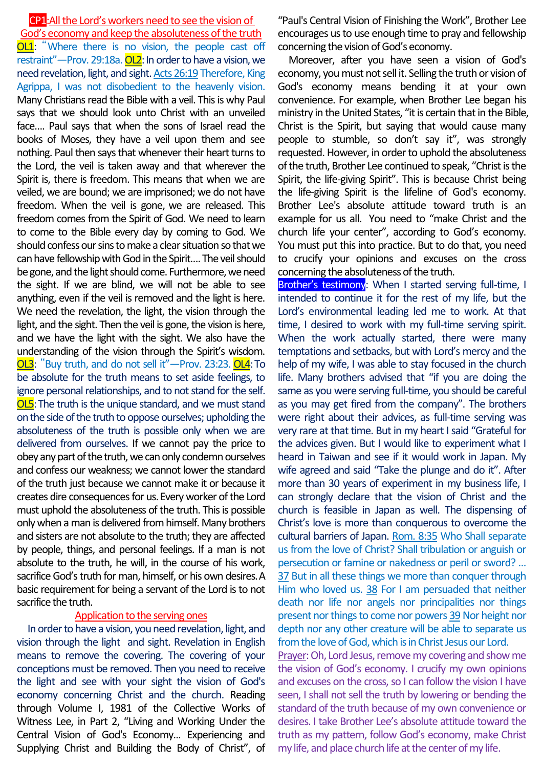CP1:All the Lord's workers need to see the vision of God's economy and keep the absoluteness of the truth OL1: "Where there is no vision, the people cast off restraint"—Prov. 29:18a. OL2: In order to have a vision, we need revelation, light, and sight. Acts 26:19 Therefore, King Agrippa, I was not disobedient to the heavenly vision. Many Christians read the Bible with a veil. This is why Paul says that we should look unto Christ with an unveiled face…. Paul says that when the sons of Israel read the books of Moses, they have a veil upon them and see nothing. Paul then says that whenever their heart turns to the Lord, the veil is taken away and that wherever the Spirit is, there is freedom. This means that when we are veiled, we are bound; we are imprisoned; we do not have freedom. When the veil is gone, we are released. This freedom comes from the Spirit of God. We need to learn to come to the Bible every day by coming to God. We should confess our sins to make a clear situation so that we can have fellowship with God in the Spirit…. The veil should be gone, and the light should come. Furthermore, we need the sight. If we are blind, we will not be able to see anything, even if the veil is removed and the light is here. We need the revelation, the light, the vision through the light, and the sight. Then the veil is gone, the vision is here, and we have the light with the sight. We also have the understanding of the vision through the Spirit's wisdom. OL3: "Buy truth, and do not sell it"—Prov. 23:23. OL4:To be absolute for the truth means to set aside feelings, to ignore personal relationships, and to not stand for the self. OL5:The truth is the unique standard, and we must stand on the side of the truth to oppose ourselves; upholding the absoluteness of the truth is possible only when we are delivered from ourselves. If we cannot pay the price to obey any part of the truth, we can only condemn ourselves and confess our weakness; we cannot lower the standard of the truth just because we cannot make it or because it creates dire consequences for us.Every worker of the Lord must uphold the absoluteness of the truth. This is possible only when a man is delivered from himself. Many brothers and sisters are not absolute to the truth; they are affected by people, things, and personal feelings. If a man is not absolute to the truth, he will, in the course of his work, sacrifice God's truth for man, himself, or his own desires.A basic requirement for being a servant of the Lord is to not sacrifice the truth.

### Application to the serving ones

In order to have a vision, you need revelation, light, and vision through the light and sight. Revelation in English means to remove the covering. The covering of your conceptions must be removed. Then you need to receive the light and see with your sight the vision of God's economy concerning Christ and the church. Reading through Volume I, 1981 of the Collective Works of Witness Lee, in Part 2, "Living and Working Under the Central Vision of God's Economy... Experiencing and Supplying Christ and Building the Body of Christ", of

"Paul's Central Vision of Finishing the Work", Brother Lee encourages us to use enough time to pray and fellowship concerning the vision of God's economy.

Moreover, after you have seen a vision of God's economy, you must not sell it. Selling the truth or vision of God's economy means bending it at your own convenience. For example, when Brother Lee began his ministry in the United States, "it is certain that in the Bible, Christ is the Spirit, but saying that would cause many people to stumble, so don't say it", was strongly requested. However, in order to uphold the absoluteness of the truth, Brother Lee continued to speak, "Christ is the Spirit, the life-giving Spirit". This is because Christ being the life-giving Spirit is the lifeline of God's economy. Brother Lee's absolute attitude toward truth is an example for us all. You need to "make Christ and the church life your center", according to God's economy. You must put this into practice. But to do that, you need to crucify your opinions and excuses on the cross concerning the absoluteness of the truth.

Brother's testimony: When I started serving full-time, I intended to continue it for the rest of my life, but the Lord's environmental leading led me to work. At that time, I desired to work with my full-time serving spirit. When the work actually started, there were many temptations and setbacks, but with Lord's mercy and the help of my wife, I was able to stay focused in the church life. Many brothers advised that "if you are doing the same as you were serving full-time, you should be careful as you may get fired from the company". The brothers were right about their advices, as full-time serving was very rare at that time. But in my heart I said "Grateful for the advices given. But I would like to experiment what I heard in Taiwan and see if it would work in Japan. My wife agreed and said "Take the plunge and do it". After more than 30 years of experiment in my business life, I can strongly declare that the vision of Christ and the church is feasible in Japan as well. The dispensing of Christ's love is more than conquerous to overcome the cultural barriers of Japan. Rom. 8:35 Who Shall separate us from the love of Christ? Shall tribulation or anguish or persecution or famine or nakedness or peril or sword? … 37 But in all these things we more than conquer through Him who loved us. 38 For I am persuaded that neither death nor life nor angels nor principalities nor things present nor things to come nor powers 39Nor height nor depth nor any other creature will be able to separate us from the love of God, which is in Christ Jesus our Lord.

Prayer: Oh, Lord Jesus, remove my covering and show me the vision of God's economy. I crucify my own opinions and excuses on the cross, so I can follow the vision I have seen, I shall not sell the truth by lowering or bending the standard of the truth because of my own convenience or desires. I take Brother Lee's absolute attitude toward the truth as my pattern, follow God's economy, make Christ my life, and place church life at the center of my life.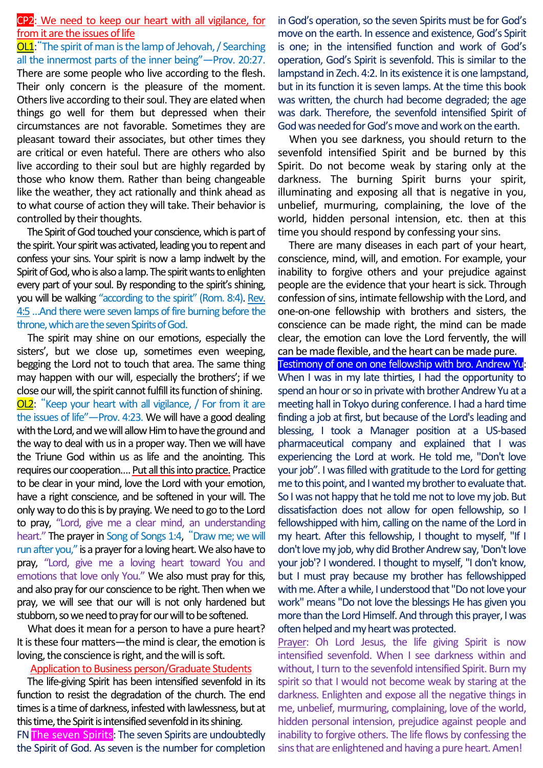## CP2: We need to keep our heart with all vigilance, for from it are the issues of life

OL1:"The spirit of man is the lamp of Jehovah, / Searching all the innermost parts of the inner being"—Prov. 20:27. There are some people who live according to the flesh. Their only concern is the pleasure of the moment. Others live according to their soul. They are elated when things go well for them but depressed when their circumstances are not favorable. Sometimes they are pleasant toward their associates, but other times they are critical or even hateful. There are others who also live according to their soul but are highly regarded by those who know them. Rather than being changeable like the weather, they act rationally and think ahead as to what course of action they will take. Their behavior is controlled by their thoughts.

The Spirit of God touched your conscience, which is part of the spirit. Your spirit was activated, leading you to repent and confess your sins. Your spirit is now a lamp indwelt by the Spirit of God, who is also a lamp. The spirit wants to enlighten every part of your soul. By responding to the spirit's shining, you will be walking "according to the spirit" (Rom. 8:4). Rev. 4:5…And there were seven lamps of fire burning before the throne, which are the seven Spirits of God.

The spirit may shine on our emotions, especially the sisters', but we close up, sometimes even weeping, begging the Lord not to touch that area. The same thing may happen with our will, especially the brothers'; if we close our will, the spirit cannot fulfill its function of shining. OL2: "Keep your heart with all vigilance, / For from it are the issues of life"—Prov. 4:23. We will have a good dealing with the Lord, and we will allow Him to have the ground and the way to deal with us in a proper way. Then we will have the Triune God within us as life and the anointing. This requires our cooperation.... Put all this into practice. Practice to be clear in your mind, love the Lord with your emotion, have a right conscience, and be softened in your will. The only way to do this is by praying. We need to go to the Lord to pray, "Lord, give me a clear mind, an understanding heart." The prayer in Song of Songs 1:4, "Draw me; we will run after you," is a prayer for a loving heart. We also have to pray, "Lord, give me a loving heart toward You and emotions that love only You." We also must pray for this, and also pray for our conscience to be right. Then when we pray, we will see that our will is not only hardened but stubborn, so we need to pray for our will to be softened.

What does it mean for a person to have a pure heart? It is these four matters—the mind is clear, the emotion is loving, the conscience is right, and the will is soft.

#### Application to Business person/Graduate Students

The life-giving Spirit has been intensified sevenfold in its function to resist the degradation of the church. The end times is a time of darkness, infested with lawlessness, but at this time, the Spirit is intensified sevenfold in its shining. FNThe seven Spirits: The seven Spirits are undoubtedly

the Spirit of God. As seven is the number for completion

in God's operation, so the seven Spirits must be for God's move on the earth. In essence and existence, God's Spirit is one; in the intensified function and work of God's operation, God's Spirit is sevenfold. This is similar to the lampstand in Zech. 4:2. In its existence it is one lampstand, but in its function it is seven lamps. At the time this book was written, the church had become degraded; the age was dark. Therefore, the sevenfold intensified Spirit of God was needed for God's move and work on the earth.

When you see darkness, you should return to the sevenfold intensified Spirit and be burned by this Spirit. Do not become weak by staring only at the darkness. The burning Spirit burns your spirit, illuminating and exposing all that is negative in you, unbelief, murmuring, complaining, the love of the world, hidden personal intension, etc. then at this time you should respond by confessing your sins.

There are many diseases in each part of your heart, conscience, mind, will, and emotion. For example, your inability to forgive others and your prejudice against people are the evidence that your heart is sick. Through confession of sins, intimate fellowship with the Lord, and one-on-one fellowship with brothers and sisters, the conscience can be made right, the mind can be made clear, the emotion can love the Lord fervently, the will can be made flexible, and the heart can be made pure. Testimony of one on one fellowship with bro. Andrew Yu: When I was in my late thirties, I had the opportunity to spend an hour or so in private with brother Andrew Yu at a meeting hall in Tokyo during conference. I had a hard time finding a job at first, but because of the Lord's leading and blessing, I took a Manager position at a US-based pharmaceutical company and explained that I was experiencing the Lord at work. He told me, "Don't love your job". I was filled with gratitude to the Lord for getting me to this point, and I wanted my brother to evaluate that. So I was not happy that he told me not to love my job. But dissatisfaction does not allow for open fellowship, so I fellowshipped with him, calling on the name of the Lord in my heart. After this fellowship, I thought to myself, "If I don't love my job, why did Brother Andrew say, 'Don't love your job'? I wondered. I thought to myself, "I don't know, but I must pray because my brother has fellowshipped with me. After a while, I understood that "Do not love your work" means "Do not love the blessings He has given you more than the Lord Himself. And through this prayer, I was often helped and my heart was protected.

Prayer: Oh Lord Jesus, the life giving Spirit is now intensified sevenfold. When I see darkness within and without, I turn to the sevenfold intensified Spirit. Burn my spirit so that I would not become weak by staring at the darkness. Enlighten and expose all the negative things in me, unbelief, murmuring, complaining, love of the world, hidden personal intension, prejudice against people and inability to forgive others. The life flows by confessing the sins that are enlightened and having a pure heart. Amen!